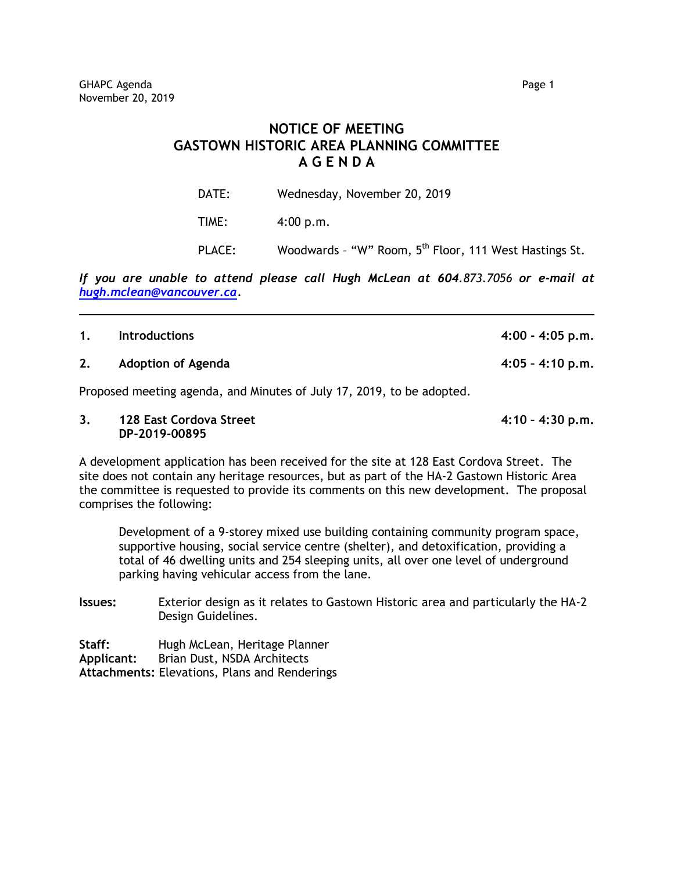## **NOTICE OF MEETING GASTOWN HISTORIC AREA PLANNING COMMITTEE A G E N D A**

| DATE:  | Wednesday, November 20, 2019                                       |
|--------|--------------------------------------------------------------------|
| TIME:  | 4:00 p.m.                                                          |
| PLACE: | Woodwards - "W" Room, 5 <sup>th</sup> Floor, 111 West Hastings St. |

*If you are unable to attend please call Hugh McLean at 604.873.7056 or e-mail at [hugh.mclean@vancouver.ca.](mailto:hugh.mclean@vancouver.ca)*

| 1. | <b>Introductions</b>                                                  | $4:00 - 4:05$ p.m. |
|----|-----------------------------------------------------------------------|--------------------|
| 2. | <b>Adoption of Agenda</b>                                             | $4:05 - 4:10$ p.m. |
|    | Proposed meeting agenda, and Minutes of July 17, 2019, to be adopted. |                    |

**3. 128 East Cordova Street 4:10 – 4:30 p.m. DP-2019-00895**

A development application has been received for the site at 128 East Cordova Street. The site does not contain any heritage resources, but as part of the HA-2 Gastown Historic Area the committee is requested to provide its comments on this new development. The proposal comprises the following:

Development of a 9-storey mixed use building containing community program space, supportive housing, social service centre (shelter), and detoxification, providing a total of 46 dwelling units and 254 sleeping units, all over one level of underground parking having vehicular access from the lane.

**Issues:** Exterior design as it relates to Gastown Historic area and particularly the HA-2 Design Guidelines.

**Staff:** Hugh McLean, Heritage Planner **Applicant:** Brian Dust, NSDA Architects **Attachments:** Elevations, Plans and Renderings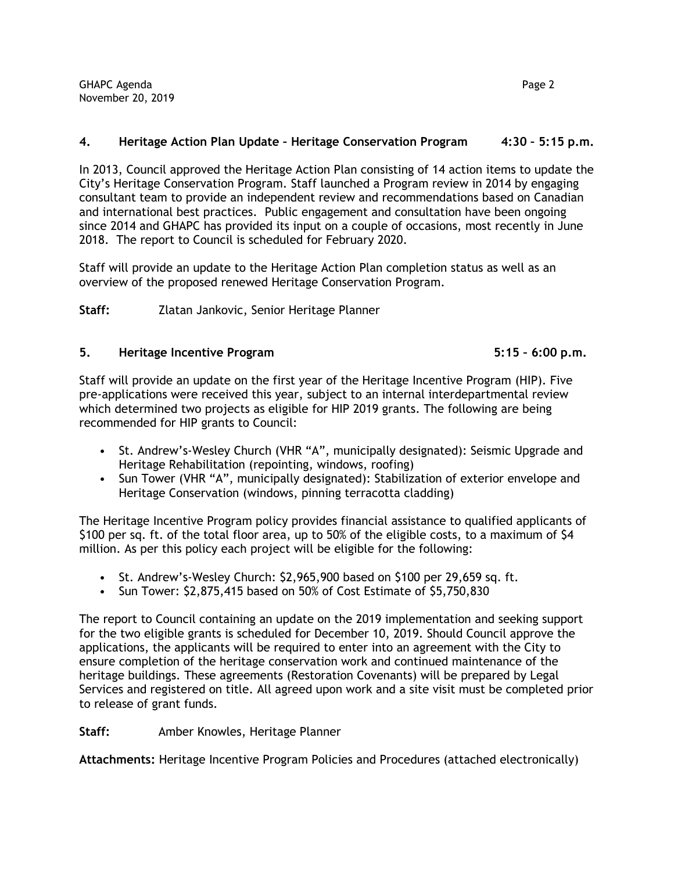## **4. Heritage Action Plan Update – Heritage Conservation Program 4:30 – 5:15 p.m.**

In 2013, Council approved the Heritage Action Plan consisting of 14 action items to update the City's Heritage Conservation Program. Staff launched a Program review in 2014 by engaging consultant team to provide an independent review and recommendations based on Canadian and international best practices. Public engagement and consultation have been ongoing since 2014 and GHAPC has provided its input on a couple of occasions, most recently in June 2018. The report to Council is scheduled for February 2020.

Staff will provide an update to the Heritage Action Plan completion status as well as an overview of the proposed renewed Heritage Conservation Program.

**Staff:** Zlatan Jankovic, Senior Heritage Planner

## **5. Heritage Incentive Program 5:15 – 6:00 p.m.**

Staff will provide an update on the first year of the Heritage Incentive Program (HIP). Five pre-applications were received this year, subject to an internal interdepartmental review which determined two projects as eligible for HIP 2019 grants. The following are being recommended for HIP grants to Council:

- St. Andrew's-Wesley Church (VHR "A", municipally designated): Seismic Upgrade and Heritage Rehabilitation (repointing, windows, roofing)
- Sun Tower (VHR "A", municipally designated): Stabilization of exterior envelope and Heritage Conservation (windows, pinning terracotta cladding)

The Heritage Incentive Program policy provides financial assistance to qualified applicants of \$100 per sq. ft. of the total floor area, up to 50% of the eligible costs, to a maximum of \$4 million. As per this policy each project will be eligible for the following:

- St. Andrew's-Wesley Church: \$2,965,900 based on \$100 per 29,659 sq. ft.
- Sun Tower: \$2,875,415 based on 50% of Cost Estimate of \$5,750,830

The report to Council containing an update on the 2019 implementation and seeking support for the two eligible grants is scheduled for December 10, 2019. Should Council approve the applications, the applicants will be required to enter into an agreement with the City to ensure completion of the heritage conservation work and continued maintenance of the heritage buildings. These agreements (Restoration Covenants) will be prepared by Legal Services and registered on title. All agreed upon work and a site visit must be completed prior to release of grant funds.

Staff: Amber Knowles, Heritage Planner

**Attachments:** Heritage Incentive Program Policies and Procedures (attached electronically)